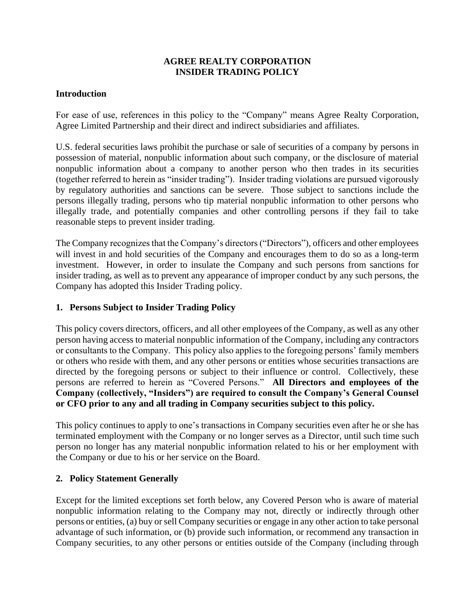#### **AGREE REALTY CORPORATION INSIDER TRADING POLICY**

#### **Introduction**

For ease of use, references in this policy to the "Company" means Agree Realty Corporation, Agree Limited Partnership and their direct and indirect subsidiaries and affiliates.

U.S. federal securities laws prohibit the purchase or sale of securities of a company by persons in possession of material, nonpublic information about such company, or the disclosure of material nonpublic information about a company to another person who then trades in its securities (together referred to herein as "insider trading"). Insider trading violations are pursued vigorously by regulatory authorities and sanctions can be severe. Those subject to sanctions include the persons illegally trading, persons who tip material nonpublic information to other persons who illegally trade, and potentially companies and other controlling persons if they fail to take reasonable steps to prevent insider trading.

The Company recognizes that the Company's directors("Directors"), officers and other employees will invest in and hold securities of the Company and encourages them to do so as a long-term investment. However, in order to insulate the Company and such persons from sanctions for insider trading, as well as to prevent any appearance of improper conduct by any such persons, the Company has adopted this Insider Trading policy.

#### **1. Persons Subject to Insider Trading Policy**

This policy covers directors, officers, and all other employees of the Company, as well as any other person having access to material nonpublic information of the Company, including any contractors or consultants to the Company. This policy also applies to the foregoing persons' family members or others who reside with them, and any other persons or entities whose securities transactions are directed by the foregoing persons or subject to their influence or control. Collectively, these persons are referred to herein as "Covered Persons." **All Directors and employees of the Company (collectively, "Insiders") are required to consult the Company's General Counsel or CFO prior to any and all trading in Company securities subject to this policy.**

This policy continues to apply to one's transactions in Company securities even after he or she has terminated employment with the Company or no longer serves as a Director, until such time such person no longer has any material nonpublic information related to his or her employment with the Company or due to his or her service on the Board.

#### **2. Policy Statement Generally**

Except for the limited exceptions set forth below, any Covered Person who is aware of material nonpublic information relating to the Company may not, directly or indirectly through other persons or entities, (a) buy or sell Company securities or engage in any other action to take personal advantage of such information, or (b) provide such information, or recommend any transaction in Company securities, to any other persons or entities outside of the Company (including through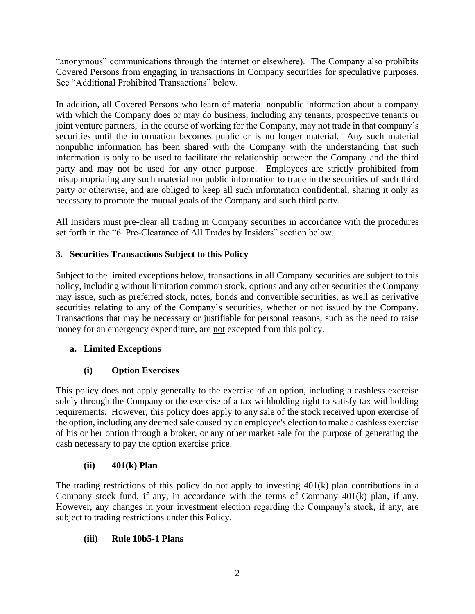"anonymous" communications through the internet or elsewhere). The Company also prohibits Covered Persons from engaging in transactions in Company securities for speculative purposes. See "Additional Prohibited Transactions" below.

In addition, all Covered Persons who learn of material nonpublic information about a company with which the Company does or may do business, including any tenants, prospective tenants or joint venture partners, in the course of working for the Company, may not trade in that company's securities until the information becomes public or is no longer material. Any such material nonpublic information has been shared with the Company with the understanding that such information is only to be used to facilitate the relationship between the Company and the third party and may not be used for any other purpose. Employees are strictly prohibited from misappropriating any such material nonpublic information to trade in the securities of such third party or otherwise, and are obliged to keep all such information confidential, sharing it only as necessary to promote the mutual goals of the Company and such third party.

All Insiders must pre-clear all trading in Company securities in accordance with the procedures set forth in the "6. Pre-Clearance of All Trades by Insiders" section below.

# **3. Securities Transactions Subject to this Policy**

Subject to the limited exceptions below, transactions in all Company securities are subject to this policy, including without limitation common stock, options and any other securities the Company may issue, such as preferred stock, notes, bonds and convertible securities, as well as derivative securities relating to any of the Company's securities, whether or not issued by the Company. Transactions that may be necessary or justifiable for personal reasons, such as the need to raise money for an emergency expenditure, are not excepted from this policy.

# **a. Limited Exceptions**

# **(i) Option Exercises**

This policy does not apply generally to the exercise of an option, including a cashless exercise solely through the Company or the exercise of a tax withholding right to satisfy tax withholding requirements. However, this policy does apply to any sale of the stock received upon exercise of the option, including any deemed sale caused by an employee's election to make a cashless exercise of his or her option through a broker, or any other market sale for the purpose of generating the cash necessary to pay the option exercise price.

# **(ii) 401(k) Plan**

The trading restrictions of this policy do not apply to investing 401(k) plan contributions in a Company stock fund, if any, in accordance with the terms of Company 401(k) plan, if any. However, any changes in your investment election regarding the Company's stock, if any, are subject to trading restrictions under this Policy.

# **(iii) Rule 10b5-1 Plans**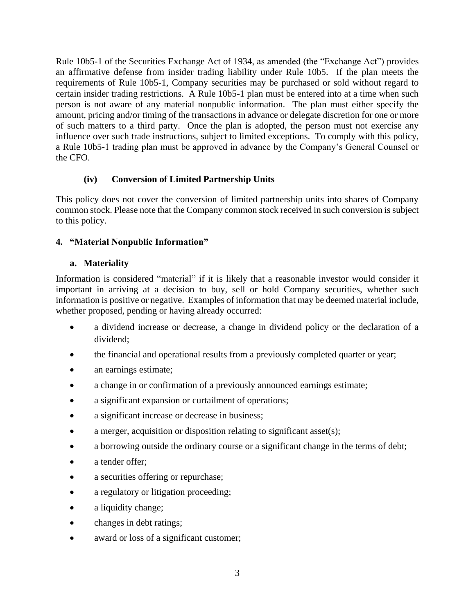Rule 10b5-1 of the Securities Exchange Act of 1934, as amended (the "Exchange Act") provides an affirmative defense from insider trading liability under Rule 10b5. If the plan meets the requirements of Rule 10b5-1, Company securities may be purchased or sold without regard to certain insider trading restrictions. A Rule 10b5-1 plan must be entered into at a time when such person is not aware of any material nonpublic information. The plan must either specify the amount, pricing and/or timing of the transactions in advance or delegate discretion for one or more of such matters to a third party. Once the plan is adopted, the person must not exercise any influence over such trade instructions, subject to limited exceptions. To comply with this policy, a Rule 10b5-1 trading plan must be approved in advance by the Company's General Counsel or the CFO.

# **(iv) Conversion of Limited Partnership Units**

This policy does not cover the conversion of limited partnership units into shares of Company common stock. Please note that the Company common stock received in such conversion is subject to this policy.

# **4. "Material Nonpublic Information"**

### **a. Materiality**

Information is considered "material" if it is likely that a reasonable investor would consider it important in arriving at a decision to buy, sell or hold Company securities, whether such information is positive or negative. Examples of information that may be deemed material include, whether proposed, pending or having already occurred:

- a dividend increase or decrease, a change in dividend policy or the declaration of a dividend;
- the financial and operational results from a previously completed quarter or year;
- an earnings estimate;
- a change in or confirmation of a previously announced earnings estimate;
- a significant expansion or curtailment of operations;
- a significant increase or decrease in business;
- a merger, acquisition or disposition relating to significant asset(s);
- a borrowing outside the ordinary course or a significant change in the terms of debt;
- a tender offer:
- a securities offering or repurchase;
- a regulatory or litigation proceeding;
- a liquidity change;
- changes in debt ratings;
- award or loss of a significant customer;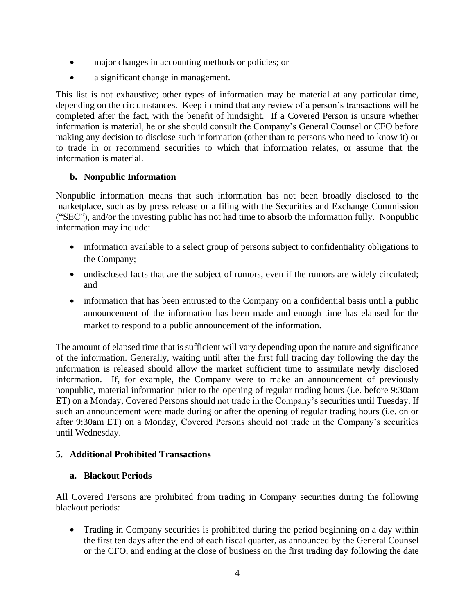- major changes in accounting methods or policies; or
- a significant change in management.

This list is not exhaustive; other types of information may be material at any particular time, depending on the circumstances. Keep in mind that any review of a person's transactions will be completed after the fact, with the benefit of hindsight. If a Covered Person is unsure whether information is material, he or she should consult the Company's General Counsel or CFO before making any decision to disclose such information (other than to persons who need to know it) or to trade in or recommend securities to which that information relates, or assume that the information is material.

# **b. Nonpublic Information**

Nonpublic information means that such information has not been broadly disclosed to the marketplace, such as by press release or a filing with the Securities and Exchange Commission ("SEC"), and/or the investing public has not had time to absorb the information fully. Nonpublic information may include:

- information available to a select group of persons subject to confidentiality obligations to the Company;
- undisclosed facts that are the subject of rumors, even if the rumors are widely circulated; and
- information that has been entrusted to the Company on a confidential basis until a public announcement of the information has been made and enough time has elapsed for the market to respond to a public announcement of the information.

The amount of elapsed time that is sufficient will vary depending upon the nature and significance of the information. Generally, waiting until after the first full trading day following the day the information is released should allow the market sufficient time to assimilate newly disclosed information. If, for example, the Company were to make an announcement of previously nonpublic, material information prior to the opening of regular trading hours (i.e. before 9:30am ET) on a Monday, Covered Persons should not trade in the Company's securities until Tuesday. If such an announcement were made during or after the opening of regular trading hours (i.e. on or after 9:30am ET) on a Monday, Covered Persons should not trade in the Company's securities until Wednesday.

### **5. Additional Prohibited Transactions**

### **a. Blackout Periods**

All Covered Persons are prohibited from trading in Company securities during the following blackout periods:

• Trading in Company securities is prohibited during the period beginning on a day within the first ten days after the end of each fiscal quarter, as announced by the General Counsel or the CFO, and ending at the close of business on the first trading day following the date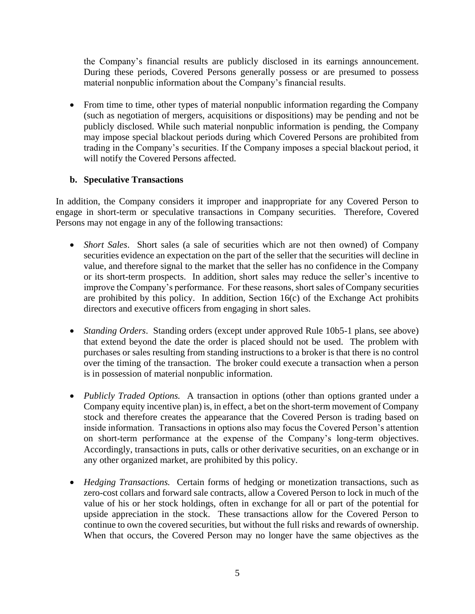the Company's financial results are publicly disclosed in its earnings announcement. During these periods, Covered Persons generally possess or are presumed to possess material nonpublic information about the Company's financial results.

• From time to time, other types of material nonpublic information regarding the Company (such as negotiation of mergers, acquisitions or dispositions) may be pending and not be publicly disclosed. While such material nonpublic information is pending, the Company may impose special blackout periods during which Covered Persons are prohibited from trading in the Company's securities. If the Company imposes a special blackout period, it will notify the Covered Persons affected.

#### **b. Speculative Transactions**

In addition, the Company considers it improper and inappropriate for any Covered Person to engage in short-term or speculative transactions in Company securities. Therefore, Covered Persons may not engage in any of the following transactions:

- *Short Sales*. Short sales (a sale of securities which are not then owned) of Company securities evidence an expectation on the part of the seller that the securities will decline in value, and therefore signal to the market that the seller has no confidence in the Company or its short-term prospects. In addition, short sales may reduce the seller's incentive to improve the Company's performance. For these reasons, short sales of Company securities are prohibited by this policy. In addition, Section 16(c) of the Exchange Act prohibits directors and executive officers from engaging in short sales.
- *Standing Orders*. Standing orders (except under approved Rule 10b5-1 plans, see above) that extend beyond the date the order is placed should not be used. The problem with purchases or sales resulting from standing instructions to a broker is that there is no control over the timing of the transaction. The broker could execute a transaction when a person is in possession of material nonpublic information.
- *Publicly Traded Options.* A transaction in options (other than options granted under a Company equity incentive plan) is, in effect, a bet on the short-term movement of Company stock and therefore creates the appearance that the Covered Person is trading based on inside information. Transactions in options also may focus the Covered Person's attention on short-term performance at the expense of the Company's long-term objectives. Accordingly, transactions in puts, calls or other derivative securities, on an exchange or in any other organized market, are prohibited by this policy.
- *Hedging Transactions.* Certain forms of hedging or monetization transactions, such as zero-cost collars and forward sale contracts, allow a Covered Person to lock in much of the value of his or her stock holdings, often in exchange for all or part of the potential for upside appreciation in the stock. These transactions allow for the Covered Person to continue to own the covered securities, but without the full risks and rewards of ownership. When that occurs, the Covered Person may no longer have the same objectives as the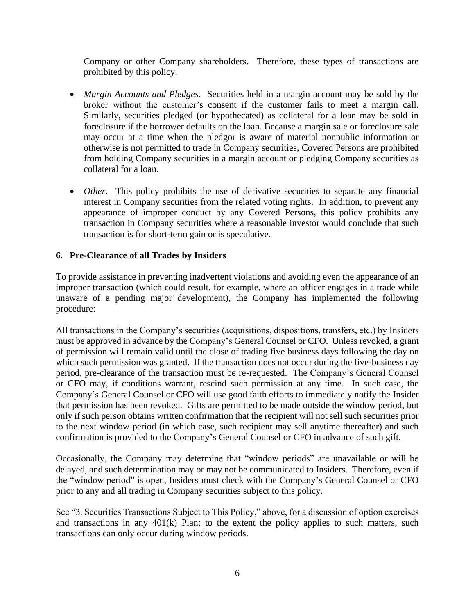Company or other Company shareholders. Therefore, these types of transactions are prohibited by this policy.

- *Margin Accounts and Pledges*. Securities held in a margin account may be sold by the broker without the customer's consent if the customer fails to meet a margin call. Similarly, securities pledged (or hypothecated) as collateral for a loan may be sold in foreclosure if the borrower defaults on the loan. Because a margin sale or foreclosure sale may occur at a time when the pledgor is aware of material nonpublic information or otherwise is not permitted to trade in Company securities, Covered Persons are prohibited from holding Company securities in a margin account or pledging Company securities as collateral for a loan.
- *Other*. This policy prohibits the use of derivative securities to separate any financial interest in Company securities from the related voting rights. In addition, to prevent any appearance of improper conduct by any Covered Persons, this policy prohibits any transaction in Company securities where a reasonable investor would conclude that such transaction is for short-term gain or is speculative.

### **6. Pre-Clearance of all Trades by Insiders**

To provide assistance in preventing inadvertent violations and avoiding even the appearance of an improper transaction (which could result, for example, where an officer engages in a trade while unaware of a pending major development), the Company has implemented the following procedure:

All transactions in the Company's securities (acquisitions, dispositions, transfers, etc.) by Insiders must be approved in advance by the Company's General Counsel or CFO. Unless revoked, a grant of permission will remain valid until the close of trading five business days following the day on which such permission was granted. If the transaction does not occur during the five-business day period, pre-clearance of the transaction must be re-requested. The Company's General Counsel or CFO may, if conditions warrant, rescind such permission at any time. In such case, the Company's General Counsel or CFO will use good faith efforts to immediately notify the Insider that permission has been revoked. Gifts are permitted to be made outside the window period, but only if such person obtains written confirmation that the recipient will not sell such securities prior to the next window period (in which case, such recipient may sell anytime thereafter) and such confirmation is provided to the Company's General Counsel or CFO in advance of such gift.

Occasionally, the Company may determine that "window periods" are unavailable or will be delayed, and such determination may or may not be communicated to Insiders. Therefore, even if the "window period" is open, Insiders must check with the Company's General Counsel or CFO prior to any and all trading in Company securities subject to this policy.

See "3. Securities Transactions Subject to This Policy," above, for a discussion of option exercises and transactions in any 401(k) Plan; to the extent the policy applies to such matters, such transactions can only occur during window periods.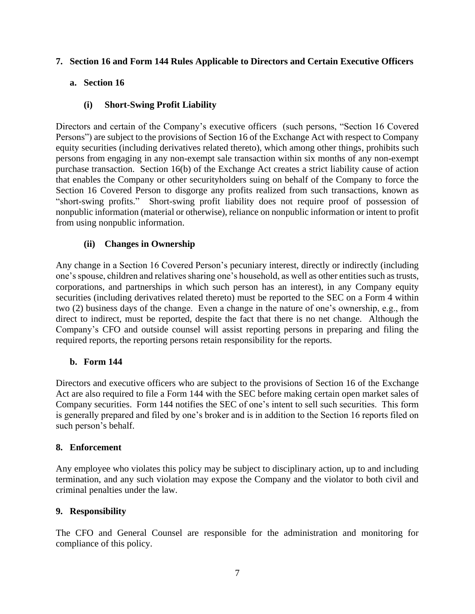### **7. Section 16 and Form 144 Rules Applicable to Directors and Certain Executive Officers**

# **a. Section 16**

# **(i) Short-Swing Profit Liability**

Directors and certain of the Company's executive officers (such persons, "Section 16 Covered Persons") are subject to the provisions of Section 16 of the Exchange Act with respect to Company equity securities (including derivatives related thereto), which among other things, prohibits such persons from engaging in any non-exempt sale transaction within six months of any non-exempt purchase transaction. Section 16(b) of the Exchange Act creates a strict liability cause of action that enables the Company or other securityholders suing on behalf of the Company to force the Section 16 Covered Person to disgorge any profits realized from such transactions, known as "short-swing profits." Short-swing profit liability does not require proof of possession of nonpublic information (material or otherwise), reliance on nonpublic information or intent to profit from using nonpublic information.

### **(ii) Changes in Ownership**

Any change in a Section 16 Covered Person's pecuniary interest, directly or indirectly (including one's spouse, children and relatives sharing one's household, as well as other entities such as trusts, corporations, and partnerships in which such person has an interest), in any Company equity securities (including derivatives related thereto) must be reported to the SEC on a Form 4 within two (2) business days of the change. Even a change in the nature of one's ownership, e.g., from direct to indirect, must be reported, despite the fact that there is no net change. Although the Company's CFO and outside counsel will assist reporting persons in preparing and filing the required reports, the reporting persons retain responsibility for the reports.

#### **b. Form 144**

Directors and executive officers who are subject to the provisions of Section 16 of the Exchange Act are also required to file a Form 144 with the SEC before making certain open market sales of Company securities. Form 144 notifies the SEC of one's intent to sell such securities. This form is generally prepared and filed by one's broker and is in addition to the Section 16 reports filed on such person's behalf.

#### **8. Enforcement**

Any employee who violates this policy may be subject to disciplinary action, up to and including termination, and any such violation may expose the Company and the violator to both civil and criminal penalties under the law.

### **9. Responsibility**

The CFO and General Counsel are responsible for the administration and monitoring for compliance of this policy.